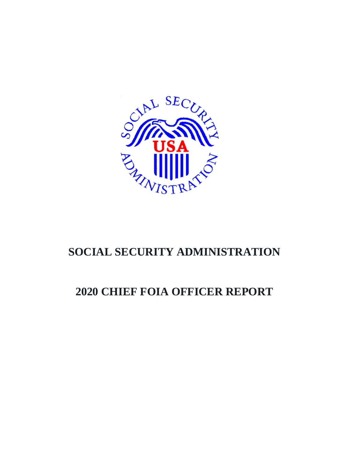

# **SOCIAL SECURITY ADMINISTRATION**

# **2020 CHIEF FOIA OFFICER REPORT**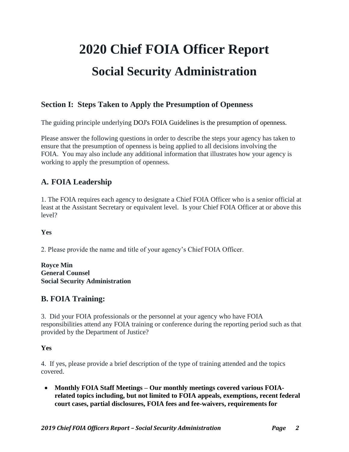# **2020 Chief FOIA Officer Report Social Security Administration**

## **Section I: Steps Taken to Apply the Presumption of Openness**

The guiding principle underlying DOJ's [FOIA Guidelines](http://justice.gov/ag/foia-memo-march2009.pdf) is the presumption of openness.

Please answer the following questions in order to describe the steps your agency has taken to ensure that the presumption of openness is being applied to all decisions involving the FOIA. You may also include any additional information that illustrates how your agency is working to apply the presumption of openness.

## **A. FOIA Leadership**

1. The FOIA requires each agency to designate a Chief FOIA Officer who is a senior official at least at the Assistant Secretary or equivalent level. Is your Chief FOIA Officer at or above this level?

#### **Yes**

2. Please provide the name and title of your agency's Chief FOIA Officer.

**Royce Min General Counsel Social Security Administration**

## **B. FOIA Training:**

3. Did your FOIA professionals or the personnel at your agency who have FOIA responsibilities attend any FOIA training or conference during the reporting period such as that provided by the Department of Justice?

## **Yes**

4. If yes, please provide a brief description of the type of training attended and the topics covered.

 **Monthly FOIA Staff Meetings – Our monthly meetings covered various FOIArelated topics including, but not limited to FOIA appeals, exemptions, recent federal court cases, partial disclosures, FOIA fees and fee-waivers, requirements for**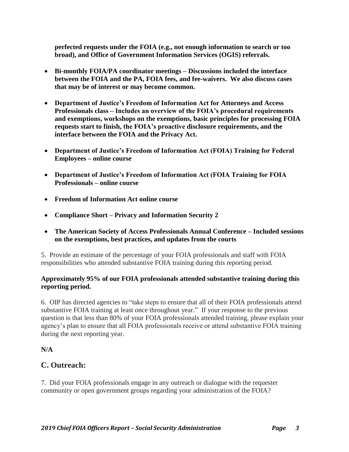**perfected requests under the FOIA (e.g., not enough information to search or too broad), and Office of Government Information Services (OGIS) referrals.**

- **Bi-monthly FOIA/PA coordinator meetings – Discussions included the interface between the FOIA and the PA, FOIA fees, and fee-waivers. We also discuss cases that may be of interest or may become common.**
- **Department of Justice's Freedom of Information Act for Attorneys and Access Professionals class – Includes an overview of the FOIA's procedural requirements and exemptions, workshops on the exemptions, basic principles for processing FOIA requests start to finish, the FOIA's proactive disclosure requirements, and the interface between the FOIA and the Privacy Act.**
- **Department of Justice's Freedom of Information Act (FOIA) Training for Federal Employees – online course**
- **Department of Justice's Freedom of Information Act (FOIA Training for FOIA Professionals – online course**
- **Freedom of Information Act online course**
- **Compliance Short – Privacy and Information Security 2**
- **The American Society of Access Professionals Annual Conference – Included sessions on the exemptions, best practices, and updates from the courts**

5. Provide an estimate of the percentage of your FOIA professionals and staff with FOIA responsibilities who attended substantive FOIA training during this reporting period.

#### **Approximately 95% of our FOIA professionals attended substantive training during this reporting period.**

6. OIP has directed agencies to "take steps to ensure that all of their FOIA professionals attend substantive FOIA training at least once throughout year." If your response to the previous question is that less than 80% of your FOIA professionals attended training, please explain your agency's plan to ensure that all FOIA professionals receive or attend substantive FOIA training during the next reporting year.

**N/A**

## **C. Outreach:**

7. Did your FOIA professionals engage in any outreach or dialogue with the requester community or open government groups regarding your administration of the FOIA?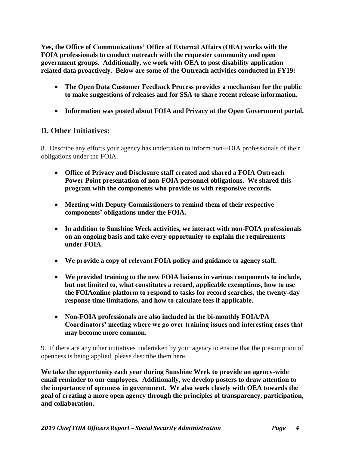**Yes, the Office of Communications' Office of External Affairs (OEA) works with the FOIA professionals to conduct outreach with the requester community and open government groups. Additionally, we work with OEA to post disability application related data proactively. Below are some of the Outreach activities conducted in FY19:**

- **The Open Data Customer Feedback Process provides a mechanism for the public to make suggestions of releases and for SSA to share recent release information.**
- **Information was posted about FOIA and Privacy at the Open Government portal.**

## **D. Other Initiatives:**

8. Describe any efforts your agency has undertaken to inform non-FOIA professionals of their obligations under the FOIA.

- **Office of Privacy and Disclosure staff created and shared a FOIA Outreach Power Point presentation of non-FOIA personnel obligations. We shared this program with the components who provide us with responsive records.**
- **Meeting with Deputy Commissioners to remind them of their respective components' obligations under the FOIA.**
- **In addition to Sunshine Week activities, we interact with non-FOIA professionals on an ongoing basis and take every opportunity to explain the requirements under FOIA.**
- **We provide a copy of relevant FOIA policy and guidance to agency staff.**
- **We provided training to the new FOIA liaisons in various components to include, but not limited to, what constitutes a record, applicable exemptions, how to use the FOIAonline platform to respond to tasks for record searches, the twenty-day response time limitations, and how to calculate fees if applicable.**
- **Non-FOIA professionals are also included in the bi-monthly FOIA/PA Coordinators' meeting where we go over training issues and interesting cases that may become more common.**

9. If there are any other initiatives undertaken by your agency to ensure that the presumption of openness is being applied, please describe them here.

**We take the opportunity each year during Sunshine Week to provide an agency-wide email reminder to our employees. Additionally, we develop posters to draw attention to the importance of openness in government. We also work closely with OEA towards the goal of creating a more open agency through the principles of transparency, participation, and collaboration.**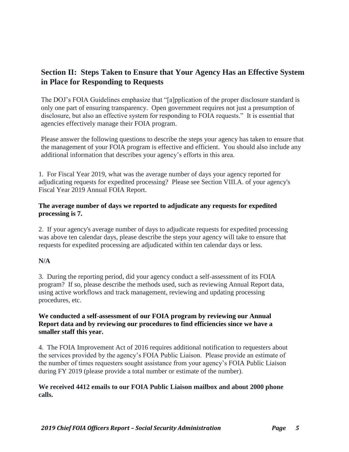## **Section II: Steps Taken to Ensure that Your Agency Has an Effective System in Place for Responding to Requests**

The DOJ's FOIA Guidelines emphasize that "[a]pplication of the proper disclosure standard is only one part of ensuring transparency. Open government requires not just a presumption of disclosure, but also an effective system for responding to FOIA requests." It is essential that agencies effectively manage their FOIA program.

Please answer the following questions to describe the steps your agency has taken to ensure that the management of your FOIA program is effective and efficient. You should also include any additional information that describes your agency's efforts in this area.

1. For Fiscal Year 2019, what was the average number of days your agency reported for adjudicating requests for expedited processing? Please see Section VIII.A. of your agency's Fiscal Year 2019 Annual FOIA Report.

#### **The average number of days we reported to adjudicate any requests for expedited processing is 7.**

2. If your agency's average number of days to adjudicate requests for expedited processing was above ten calendar days, please describe the steps your agency will take to ensure that requests for expedited processing are adjudicated within ten calendar days or less.

#### **N/A**

1. 3. During the reporting period, did your agency conduct a self-assessment of its FOIA program? If so, please describe the methods used, such as reviewing Annual Report data, using active workflows and track management, reviewing and updating processing procedures, etc.

#### **We conducted a self-assessment of our FOIA program by reviewing our Annual Report data and by reviewing our procedures to find efficiencies since we have a smaller staff this year.**

4. The FOIA Improvement Act of 2016 requires additional notification to requesters about the services provided by the agency's FOIA Public Liaison. Please provide an estimate of the number of times requesters sought assistance from your agency's FOIA Public Liaison during FY 2019 (please provide a total number or estimate of the number).

#### **We received 4412 emails to our FOIA Public Liaison mailbox and about 2000 phone calls.**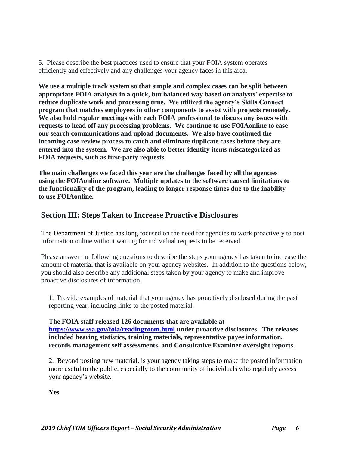5. Please describe the best practices used to ensure that your FOIA system operates efficiently and effectively and any challenges your agency faces in this area.

**We use a multiple track system so that simple and complex cases can be split between appropriate FOIA analysts in a quick, but balanced way based on analysts' expertise to reduce duplicate work and processing time. We utilized the agency's Skills Connect program that matches employees in other components to assist with projects remotely. We also hold regular meetings with each FOIA professional to discuss any issues with requests to head off any processing problems. We continue to use FOIAonline to ease our search communications and upload documents. We also have continued the incoming case review process to catch and eliminate duplicate cases before they are entered into the system. We are also able to better identify items miscategorized as FOIA requests, such as first-party requests.** 

**The main challenges we faced this year are the challenges faced by all the agencies using the FOIAonline software. Multiple updates to the software caused limitations to the functionality of the program, leading to longer response times due to the inability to use FOIAonline.** 

## **Section III: Steps Taken to Increase Proactive Disclosures**

The Department of Justice has long focused on the need for agencies to work proactively to post information online without waiting for individual requests to be received.

Please answer the following questions to describe the steps your agency has taken to increase the amount of material that is available on your agency websites. In addition to the questions below, you should also describe any additional steps taken by your agency to make and improve proactive disclosures of information.

1. Provide examples of material that your agency has proactively disclosed during the past reporting year, including links to the posted material.

**The FOIA staff released 126 documents that are available at <https://www.ssa.gov/foia/readingroom.html> under proactive disclosures. The releases included hearing statistics, training materials, representative payee information, records management self assessments, and Consultative Examiner oversight reports.**

2. Beyond posting new material, is your agency taking steps to make the posted information more useful to the public, especially to the community of individuals who regularly access your agency's website.

**Yes**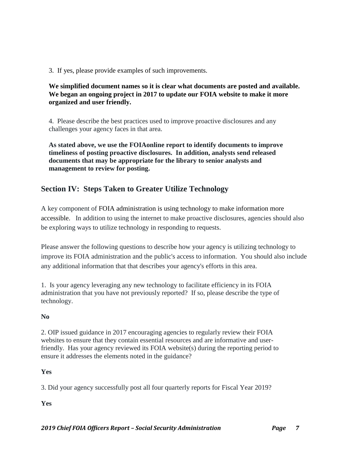3. If yes, please provide examples of such improvements.

#### **We simplified document names so it is clear what documents are posted and available. We began an ongoing project in 2017 to update our FOIA website to make it more organized and user friendly.**

4. Please describe the best practices used to improve proactive disclosures and any challenges your agency faces in that area.

**As stated above, we use the FOIAonline report to identify documents to improve timeliness of posting proactive disclosures. In addition, analysts send released documents that may be appropriate for the library to senior analysts and management to review for posting.**

## **Section IV: Steps Taken to Greater Utilize Technology**

A key component of [FOIA administration is using technology to make information more](http://www.justice.gov/oip/foia_guide09/presidential-foia.pdf)  [accessible.](http://www.justice.gov/oip/foia_guide09/presidential-foia.pdf) In addition to using the internet to make proactive disclosures, agencies should also be exploring ways to utilize technology in responding to requests.

Please answer the following questions to describe how your agency is utilizing technology to improve its FOIA administration and the public's access to information. You should also include any additional information that that describes your agency's efforts in this area.

1. Is your agency leveraging any new technology to facilitate efficiency in its FOIA administration that you have not previously reported? If so, please describe the type of technology.

## **No**

2. OIP issued guidance in 2017 encouraging agencies to regularly review their FOIA websites to ensure that they contain essential resources and are informative and userfriendly. Has your agency reviewed its FOIA website(s) during the reporting period to ensure it addresses the elements noted in the guidance?

## **Yes**

3. Did your agency successfully post all four quarterly reports for Fiscal Year 2019?

**Yes**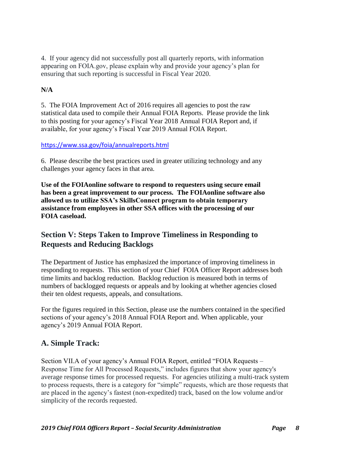4. If your agency did not successfully post all quarterly reports, with information appearing on FOIA.gov, please explain why and provide your agency's plan for ensuring that such reporting is successful in Fiscal Year 2020.

## **N/A**

5. The FOIA Improvement Act of 2016 requires all agencies to post the raw statistical data used to compile their Annual FOIA Reports. Please provide the link to this posting for your agency's Fiscal Year 2018 Annual FOIA Report and, if available, for your agency's Fiscal Year 2019 Annual FOIA Report.

#### <https://www.ssa.gov/foia/annualreports.html>

6. Please describe the best practices used in greater utilizing technology and any challenges your agency faces in that area.

**Use of the FOIAonline software to respond to requesters using secure email has been a great improvement to our process. The FOIAonline software also allowed us to utilize SSA's SkillsConnect program to obtain temporary assistance from employees in other SSA offices with the processing of our FOIA caseload.**

## **Section V: Steps Taken to Improve Timeliness in Responding to Requests and Reducing Backlogs**

The Department of Justice has emphasized the importance of improving timeliness in responding to requests. This section of your Chief FOIA Officer Report addresses both time limits and backlog reduction. Backlog reduction is measured both in terms of numbers of backlogged requests or appeals and by looking at whether agencies closed their ten oldest requests, appeals, and consultations.

For the figures required in this Section, please use the numbers contained in the specified sections of your agency's 2018 Annual FOIA Report and. When applicable, your agency's 2019 Annual FOIA Report.

## **A. Simple Track:**

Section VII.A of your agency's Annual FOIA Report, entitled "FOIA Requests – Response Time for All Processed Requests," includes figures that show your agency's average response times for processed requests. For agencies utilizing a multi-track system to process requests, there is a category for "simple" requests, which are those requests that are placed in the agency's fastest (non-expedited) track, based on the low volume and/or simplicity of the records requested.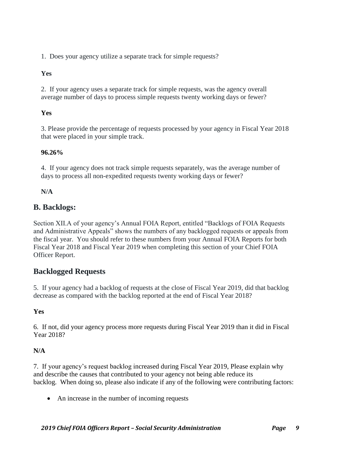1. Does your agency utilize a separate track for simple requests?

#### **Yes**

2. If your agency uses a separate track for simple requests, was the agency overall average number of days to process simple requests twenty working days or fewer?

## **Yes**

3. Please provide the percentage of requests processed by your agency in Fiscal Year 2018 that were placed in your simple track.

## **96.26%**

4. If your agency does not track simple requests separately, was the average number of days to process all non-expedited requests twenty working days or fewer?

## **N/A**

## **B. Backlogs:**

Section XII.A of your agency's Annual FOIA Report, entitled "Backlogs of FOIA Requests and Administrative Appeals" shows the numbers of any backlogged requests or appeals from the fiscal year. You should refer to these numbers from your Annual FOIA Reports for both Fiscal Year 2018 and Fiscal Year 2019 when completing this section of your Chief FOIA Officer Report.

## **Backlogged Requests**

5. If your agency had a backlog of requests at the close of Fiscal Year 2019, did that backlog decrease as compared with the backlog reported at the end of Fiscal Year 2018?

## **Yes**

6. If not, did your agency process more requests during Fiscal Year 2019 than it did in Fiscal Year 2018?

## **N/A**

7. If your agency's request backlog increased during Fiscal Year 2019, Please explain why and describe the causes that contributed to your agency not being able reduce its backlog. When doing so, please also indicate if any of the following were contributing factors:

• An increase in the number of incoming requests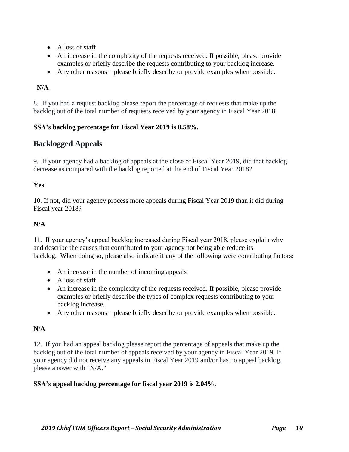- A loss of staff
- An increase in the complexity of the requests received. If possible, please provide examples or briefly describe the requests contributing to your backlog increase.
- Any other reasons please briefly describe or provide examples when possible.

## **N/A**

8. If you had a request backlog please report the percentage of requests that make up the backlog out of the total number of requests received by your agency in Fiscal Year 2018.

## **SSA's backlog percentage for Fiscal Year 2019 is 0.58%.**

## **Backlogged Appeals**

9. If your agency had a backlog of appeals at the close of Fiscal Year 2019, did that backlog decrease as compared with the backlog reported at the end of Fiscal Year 2018?

## **Yes**

10. If not, did your agency process more appeals during Fiscal Year 2019 than it did during Fiscal year 2018?

## **N/A**

11. If your agency's appeal backlog increased during Fiscal year 2018, please explain why and describe the causes that contributed to your agency not being able reduce its backlog. When doing so, please also indicate if any of the following were contributing factors:

- An increase in the number of incoming appeals
- A loss of staff
- An increase in the complexity of the requests received. If possible, please provide examples or briefly describe the types of complex requests contributing to your backlog increase.
- Any other reasons please briefly describe or provide examples when possible.

## **N/A**

12. If you had an appeal backlog please report the percentage of appeals that make up the backlog out of the total number of appeals received by your agency in Fiscal Year 2019. If your agency did not receive any appeals in Fiscal Year 2019 and/or has no appeal backlog, please answer with "N/A."

#### **SSA's appeal backlog percentage for fiscal year 2019 is 2.04%.**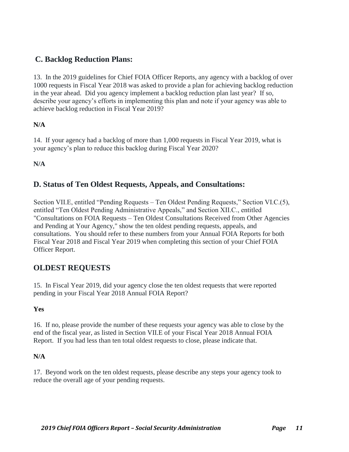## **C. Backlog Reduction Plans:**

13. In the 2019 guidelines for Chief FOIA Officer Reports, any agency with a backlog of over 1000 requests in Fiscal Year 2018 was asked to provide a plan for achieving backlog reduction in the year ahead. Did you agency implement a backlog reduction plan last year? If so, describe your agency's efforts in implementing this plan and note if your agency was able to achieve backlog reduction in Fiscal Year 2019?

#### **N/A**

14. If your agency had a backlog of more than 1,000 requests in Fiscal Year 2019, what is your agency's plan to reduce this backlog during Fiscal Year 2020?

**N/A**

## **D. Status of Ten Oldest Requests, Appeals, and Consultations:**

Section VII.E, entitled "Pending Requests – Ten Oldest Pending Requests," Section VI.C.(5), entitled "Ten Oldest Pending Administrative Appeals," and Section XII.C., entitled "Consultations on FOIA Requests – Ten Oldest Consultations Received from Other Agencies and Pending at Your Agency," show the ten oldest pending requests, appeals, and consultations. You should refer to these numbers from your Annual FOIA Reports for both Fiscal Year 2018 and Fiscal Year 2019 when completing this section of your Chief FOIA Officer Report.

## **OLDEST REQUESTS**

15. In Fiscal Year 2019, did your agency close the ten oldest requests that were reported pending in your Fiscal Year 2018 Annual FOIA Report?

#### **Yes**

16. If no, please provide the number of these requests your agency was able to close by the end of the fiscal year, as listed in Section VII.E of your Fiscal Year 2018 Annual FOIA Report. If you had less than ten total oldest requests to close, please indicate that.

#### **N/A**

17. Beyond work on the ten oldest requests, please describe any steps your agency took to reduce the overall age of your pending requests.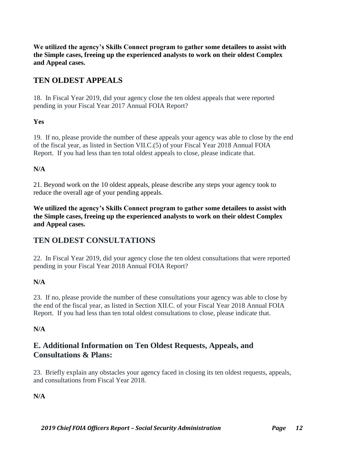**We utilized the agency's Skills Connect program to gather some detailees to assist with the Simple cases, freeing up the experienced analysts to work on their oldest Complex and Appeal cases.**

## **TEN OLDEST APPEALS**

18. In Fiscal Year 2019, did your agency close the ten oldest appeals that were reported pending in your Fiscal Year 2017 Annual FOIA Report?

#### **Yes**

19. If no, please provide the number of these appeals your agency was able to close by the end of the fiscal year, as listed in Section VII.C.(5) of your Fiscal Year 2018 Annual FOIA Report. If you had less than ten total oldest appeals to close, please indicate that.

#### **N/A**

21. Beyond work on the 10 oldest appeals, please describe any steps your agency took to reduce the overall age of your pending appeals.

**We utilized the agency's Skills Connect program to gather some detailees to assist with the Simple cases, freeing up the experienced analysts to work on their oldest Complex and Appeal cases.**

## **TEN OLDEST CONSULTATIONS**

22. In Fiscal Year 2019, did your agency close the ten oldest consultations that were reported pending in your Fiscal Year 2018 Annual FOIA Report?

## **N/A**

23. If no, please provide the number of these consultations your agency was able to close by the end of the fiscal year, as listed in Section XII.C. of your Fiscal Year 2018 Annual FOIA Report. If you had less than ten total oldest consultations to close, please indicate that.

#### **N/A**

## **E. Additional Information on Ten Oldest Requests, Appeals, and Consultations & Plans:**

23. Briefly explain any obstacles your agency faced in closing its ten oldest requests, appeals, and consultations from Fiscal Year 2018.

**N/A**